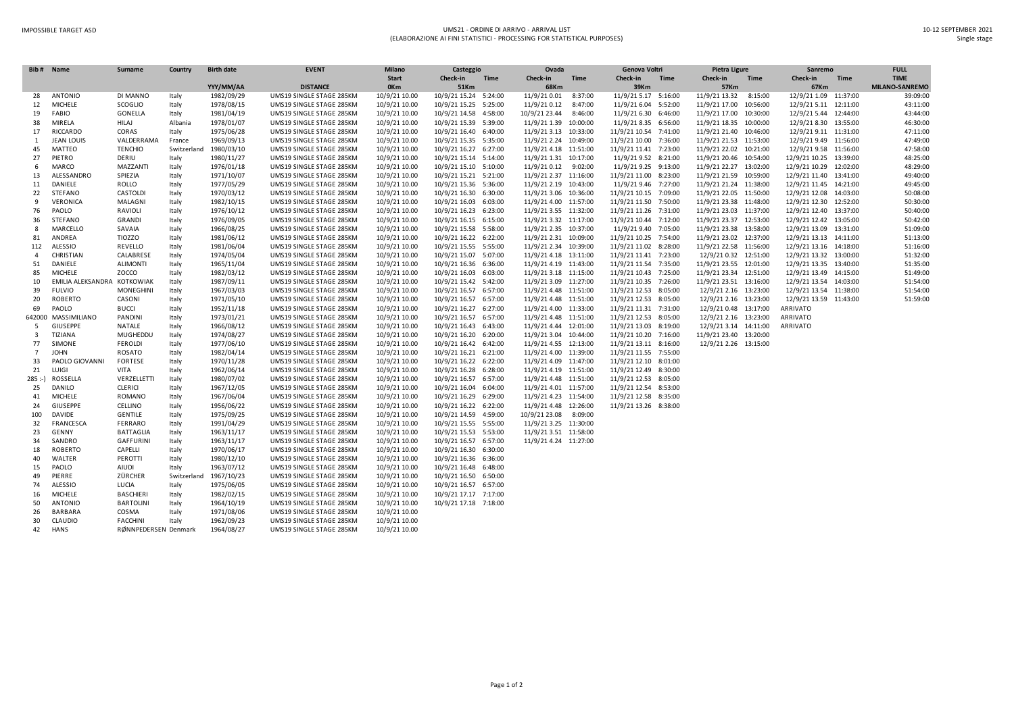## IMPOSSIBLE TARGET ASD UMS21 - ORDINE DI ARRIVO - ARRIVAL LIST (ELABORAZIONE AI FINI STATISTICI - PROCESSING FOR STATISTICAL PURPOSES)

|                | Bib# Name                | Surname              | Country     | <b>Birth date</b> | <b>EVENT</b>             | <b>Milano</b> | Casteggio             |             | Ovada                 |             | Genova Voltri         |             | Pietra Ligure          |             | Sanremo                |             | <b>FULL</b>    |
|----------------|--------------------------|----------------------|-------------|-------------------|--------------------------|---------------|-----------------------|-------------|-----------------------|-------------|-----------------------|-------------|------------------------|-------------|------------------------|-------------|----------------|
|                |                          |                      |             |                   |                          | <b>Start</b>  | Check-in              | <b>Time</b> | Check-in              | <b>Time</b> | Check-in              | <b>Time</b> | Check-in               | <b>Time</b> | Check-in               | <b>Time</b> | <b>TIME</b>    |
|                |                          |                      |             | YYY/MM/AA         | <b>DISTANCE</b>          | 0Km           | 51Km                  |             | 68Km                  |             | 39Km                  |             | 57Km                   |             | 67Km                   |             | MILANO-SANREMO |
| 28             | <b>ANTONIO</b>           | DI MANNO             | Italy       | 1982/09/29        | UMS19 SINGLE STAGE 285KM | 10/9/21 10.00 | 10/9/21 15.24 5:24:00 |             | 11/9/21 0.01          | 8:37:00     | 11/9/21 5.17 5:16:00  |             | 11/9/21 13.32          | 8:15:00     | 12/9/21 1.09 11:37:00  |             | 39:09:00       |
| 12             | MICHELE                  | SCOGLIO              | Italy       | 1978/08/15        | UMS19 SINGLE STAGE 285KM | 10/9/21 10.00 | 10/9/21 15.25 5:25:00 |             | 11/9/21 0.12          | 8:47:00     | 11/9/21 6.04 5:52:00  |             | 11/9/21 17.00          | 10:56:00    | 12/9/21 5.11 12:11:00  |             | 43:11:00       |
| 19             | FABIO                    | <b>GONELLA</b>       | Italy       | 1981/04/19        | UMS19 SINGLE STAGE 285KM | 10/9/21 10.00 | 10/9/21 14.58 4:58:00 |             | 10/9/21 23.44         | 8:46:00     | 11/9/21 6.30 6:46:00  |             | 11/9/21 17.00 10:30:00 |             | 12/9/21 5.44 12:44:00  |             | 43:44:00       |
| 38             | MIRELA                   | HILAJ                | Albania     | 1978/01/07        | UMS19 SINGLE STAGE 285KM | 10/9/21 10.00 | 10/9/21 15.39 5:39:00 |             | 11/9/21 1.39 10:00:00 |             | 11/9/21 8.35 6:56:00  |             | 11/9/21 18.35 10:00:00 |             | 12/9/21 8.30 13:55:00  |             | 46:30:00       |
| 17             | RICCARDO                 | CORAS                | Italy       | 1975/06/28        | UMS19 SINGLE STAGE 285KM | 10/9/21 10.00 | 10/9/21 16.40 6:40:00 |             | 11/9/21 3.13 10:33:00 |             | 11/9/21 10.54 7:41:00 |             | 11/9/21 21.40 10:46:00 |             | 12/9/21 9.11 11:31:00  |             | 47:11:00       |
| 1              | <b>JEAN LOUIS</b>        | VALDERRAMA           | France      | 1969/09/13        | UMS19 SINGLE STAGE 285KM | 10/9/21 10.00 | 10/9/21 15.35 5:35:00 |             | 11/9/21 2.24 10:49:00 |             | 11/9/21 10.00 7:36:00 |             | 11/9/21 21.53 11:53:00 |             | 12/9/21 9.49 11:56:00  |             | 47:49:00       |
| 45             | MATTEO                   | <b>TENCHIO</b>       | Switzerland | 1980/03/10        | UMS19 SINGLE STAGE 285KM | 10/9/21 10.00 | 10/9/21 16.27 6:27:00 |             | 11/9/21 4.18 11:51:00 |             | 11/9/21 11.41 7:23:00 |             | 11/9/21 22.02 10:21:00 |             | 12/9/21 9.58 11:56:00  |             | 47:58:00       |
| 27             | PIETRO                   | DERIU                | Italy       | 1980/11/27        | UMS19 SINGLE STAGE 285KM | 10/9/21 10.00 | 10/9/21 15.14 5:14:00 |             | 11/9/21 1.31 10:17:00 |             | 11/9/21 9.52 8:21:00  |             | 11/9/21 20.46 10:54:00 |             | 12/9/21 10.25 13:39:00 |             | 48:25:00       |
| 6              | MARCO                    | MAZZANTI             | Italy       | 1976/01/18        | UMS19 SINGLE STAGE 285KM | 10/9/21 10.00 | 10/9/21 15.10 5:10:00 |             | 11/9/21 0.12 9:02:00  |             | 11/9/21 9.25 9:13:00  |             | 11/9/21 22.27 13:02:00 |             | 12/9/21 10.29 12:02:00 |             | 48:29:00       |
| 13             | ALESSANDRO               | SPIEZIA              | Italy       | 1971/10/07        | UMS19 SINGLE STAGE 285KM | 10/9/21 10.00 | 10/9/21 15.21 5:21:00 |             | 11/9/21 2.37 11:16:00 |             | 11/9/21 11.00 8:23:00 |             | 11/9/21 21.59 10:59:00 |             | 12/9/21 11.40 13:41:00 |             | 49:40:00       |
| 11             | DANIELE                  | ROLLO                | Italy       | 1977/05/29        | UMS19 SINGLE STAGE 285KM | 10/9/21 10.00 | 10/9/21 15.36 5:36:00 |             | 11/9/21 2.19 10:43:00 |             | 11/9/21 9.46 7:27:00  |             | 11/9/21 21.24 11:38:00 |             | 12/9/21 11.45 14:21:00 |             | 49:45:00       |
| 22             | STEFANO                  | CASTOLDI             | Italy       | 1970/03/12        | UMS19 SINGLE STAGE 285KM | 10/9/21 10.00 | 10/9/21 16.30 6:30:00 |             | 11/9/21 3.06 10:36:00 |             | 11/9/21 10.15 7:09:00 |             | 11/9/21 22.05 11:50:00 |             | 12/9/21 12.08 14:03:00 |             | 50:08:00       |
| 9              | VERONICA                 | MALAGNI              | Italy       | 1982/10/15        | UMS19 SINGLE STAGE 285KM | 10/9/21 10.00 | 10/9/21 16.03 6:03:00 |             | 11/9/21 4.00 11:57:00 |             | 11/9/21 11.50 7:50:00 |             | 11/9/21 23.38 11:48:00 |             | 12/9/21 12.30 12:52:00 |             | 50:30:00       |
| 76             | PAOLO                    | RAVIOLI              | Italy       | 1976/10/12        | UMS19 SINGLE STAGE 285KM | 10/9/21 10.00 | 10/9/21 16.23 6:23:00 |             | 11/9/21 3.55 11:32:00 |             | 11/9/21 11.26 7:31:00 |             | 11/9/21 23.03 11:37:00 |             | 12/9/21 12.40 13:37:00 |             | 50:40:00       |
| 36             | STEFANO                  | GRANDI               | Italy       | 1976/09/05        | UMS19 SINGLE STAGE 285KM | 10/9/21 10.00 | 10/9/21 16.15 6:15:00 |             | 11/9/21 3.32 11:17:00 |             | 11/9/21 10.44 7:12:00 |             | 11/9/21 23.37 12:53:00 |             | 12/9/21 12.42 13:05:00 |             | 50:42:00       |
| 8              | MARCELLO                 | SAVAIA               | Italy       | 1966/08/25        | UMS19 SINGLE STAGE 285KM | 10/9/21 10.00 | 10/9/21 15.58 5:58:00 |             | 11/9/21 2.35 10:37:00 |             | 11/9/21 9.40 7:05:00  |             | 11/9/21 23.38 13:58:00 |             | 12/9/21 13.09 13:31:00 |             | 51:09:00       |
| 81             | ANDREA                   | TIOZZO               | Italy       | 1981/06/12        | UMS19 SINGLE STAGE 285KM | 10/9/21 10.00 | 10/9/21 16.22 6:22:00 |             | 11/9/21 2.31 10:09:00 |             | 11/9/21 10.25 7:54:00 |             | 11/9/21 23.02 12:37:00 |             | 12/9/21 13.13 14:11:00 |             | 51:13:00       |
| 112            | <b>ALESSIO</b>           | REVELLO              | Italy       | 1981/06/04        | UMS19 SINGLE STAGE 285KM | 10/9/21 10.00 | 10/9/21 15.55 5:55:00 |             | 11/9/21 2.34 10:39:00 |             | 11/9/21 11.02 8:28:00 |             | 11/9/21 22.58 11:56:00 |             | 12/9/21 13.16 14:18:00 |             | 51:16:00       |
| $\overline{4}$ | CHRISTIAN                | CALABRESE            | Italy       | 1974/05/04        | UMS19 SINGLE STAGE 285KM | 10/9/21 10.00 | 10/9/21 15.07 5:07:00 |             | 11/9/21 4.18 13:11:00 |             | 11/9/21 11.41 7:23:00 |             | 12/9/21 0.32 12:51:00  |             | 12/9/21 13.32 13:00:00 |             | 51:32:00       |
| 51             | DANIELE                  | <b>ALIMONTI</b>      | Italy       | 1965/11/04        | UMS19 SINGLE STAGE 285KM | 10/9/21 10.00 | 10/9/21 16.36 6:36:00 |             | 11/9/21 4.19 11:43:00 |             | 11/9/21 11.54 7:35:00 |             | 11/9/21 23.55 12:01:00 |             | 12/9/21 13.35 13:40:00 |             | 51:35:00       |
| 85             | MICHELE                  | ZOCCO                | Italy       | 1982/03/12        | UMS19 SINGLE STAGE 285KM | 10/9/21 10.00 | 10/9/21 16.03 6:03:00 |             | 11/9/21 3.18 11:15:00 |             | 11/9/21 10.43 7:25:00 |             | 11/9/21 23.34 12:51:00 |             | 12/9/21 13.49 14:15:00 |             | 51:49:00       |
| 10             | EMILIA ALEKSANDRA        | <b>KOTKOWIAK</b>     | Italy       | 1987/09/11        | UMS19 SINGLE STAGE 285KM | 10/9/21 10.00 | 10/9/21 15.42 5:42:00 |             | 11/9/21 3.09 11:27:00 |             | 11/9/21 10.35 7:26:00 |             | 11/9/21 23.51 13:16:00 |             | 12/9/21 13.54 14:03:00 |             | 51:54:00       |
| 39             | <b>FULVIO</b>            | <b>MONEGHINI</b>     | Italy       | 1967/03/03        | UMS19 SINGLE STAGE 285KM | 10/9/21 10.00 | 10/9/21 16.57 6:57:00 |             | 11/9/21 4.48 11:51:00 |             | 11/9/21 12.53 8:05:00 |             | 12/9/21 2.16 13:23:00  |             | 12/9/21 13.54 11:38:00 |             | 51:54:00       |
| 20             | <b>ROBERTO</b>           | CASONI               | Italy       | 1971/05/10        | UMS19 SINGLE STAGE 285KM | 10/9/21 10.00 | 10/9/21 16.57 6:57:00 |             | 11/9/21 4.48 11:51:00 |             | 11/9/21 12.53 8:05:00 |             | 12/9/21 2.16 13:23:00  |             | 12/9/21 13.59 11:43:00 |             | 51:59:00       |
| 69             | PAOLO                    | <b>BUCCI</b>         | Italy       | 1952/11/18        | UMS19 SINGLE STAGE 285KM | 10/9/21 10.00 | 10/9/21 16.27 6:27:00 |             | 11/9/21 4.00 11:33:00 |             | 11/9/21 11.31 7:31:00 |             | 12/9/21 0.48 13:17:00  |             | ARRIVATO               |             |                |
|                | 642000 MASSIMILIANO      | <b>PANDINI</b>       | Italy       | 1973/01/21        | UMS19 SINGLE STAGE 285KM | 10/9/21 10.00 | 10/9/21 16.57 6:57:00 |             | 11/9/21 4.48 11:51:00 |             | 11/9/21 12.53 8:05:00 |             | 12/9/21 2.16 13:23:00  |             | ARRIVATO               |             |                |
| -5             | GIUSEPPE                 | NATALE               | Italy       | 1966/08/12        | UMS19 SINGLE STAGE 285KM | 10/9/21 10.00 | 10/9/21 16.43 6:43:00 |             | 11/9/21 4.44 12:01:00 |             | 11/9/21 13.03 8:19:00 |             | 12/9/21 3.14 14:11:00  |             | ARRIVATO               |             |                |
| $\overline{3}$ | TIZIANA                  | MUGHEDDU             | Italy       | 1974/08/27        | UMS19 SINGLE STAGE 285KM | 10/9/21 10.00 | 10/9/21 16.20 6:20:00 |             | 11/9/21 3.04 10:44:00 |             | 11/9/21 10.20 7:16:00 |             | 11/9/21 23.40 13:20:00 |             |                        |             |                |
| 77             | SIMONE                   | <b>FEROLDI</b>       | Italy       | 1977/06/10        | UMS19 SINGLE STAGE 285KM | 10/9/21 10.00 | 10/9/21 16.42 6:42:00 |             | 11/9/21 4.55 12:13:00 |             | 11/9/21 13.11 8:16:00 |             | 12/9/21 2.26 13:15:00  |             |                        |             |                |
| $\overline{7}$ | <b>JOHN</b>              | <b>ROSATO</b>        | Italy       | 1982/04/14        | UMS19 SINGLE STAGE 285KM | 10/9/21 10.00 | 10/9/21 16.21 6:21:00 |             | 11/9/21 4.00 11:39:00 |             | 11/9/21 11.55 7:55:00 |             |                        |             |                        |             |                |
| 33             | PAOLO GIOVANNI           | FORTESE              | Italy       | 1970/11/28        | UMS19 SINGLE STAGE 285KM | 10/9/21 10.00 | 10/9/21 16.22 6:22:00 |             | 11/9/21 4.09 11:47:00 |             | 11/9/21 12.10 8:01:00 |             |                        |             |                        |             |                |
|                | LUIGI                    | VITA                 |             | 1962/06/14        | UMS19 SINGLE STAGE 285KM |               | 10/9/21 16.28 6:28:00 |             | 11/9/21 4.19 11:51:00 |             | 11/9/21 12.49 8:30:00 |             |                        |             |                        |             |                |
| 21             | 285 :-) ROSSELLA         | VERZELLETTI          | Italy       | 1980/07/02        |                          | 10/9/21 10.00 |                       |             |                       |             |                       |             |                        |             |                        |             |                |
|                |                          |                      | Italy       |                   | UMS19 SINGLE STAGE 285KM | 10/9/21 10.00 | 10/9/21 16.57 6:57:00 |             | 11/9/21 4.48 11:51:00 |             | 11/9/21 12.53 8:05:00 |             |                        |             |                        |             |                |
| 25             | DANILO<br><b>MICHELE</b> | <b>CLERICI</b>       | Italy       | 1967/12/05        | UMS19 SINGLE STAGE 285KM | 10/9/21 10.00 | 10/9/21 16.04 6:04:00 |             | 11/9/21 4.01 11:57:00 |             | 11/9/21 12.54 8:53:00 |             |                        |             |                        |             |                |
| 41             |                          | <b>ROMANO</b>        | Italy       | 1967/06/04        | UMS19 SINGLE STAGE 285KM | 10/9/21 10.00 | 10/9/21 16.29 6:29:00 |             | 11/9/21 4.23 11:54:00 |             | 11/9/21 12.58 8:35:00 |             |                        |             |                        |             |                |
| 24             | <b>GIUSEPPE</b>          | CELLINO              | Italy       | 1956/06/22        | UMS19 SINGLE STAGE 285KM | 10/9/21 10.00 | 10/9/21 16.22 6:22:00 |             | 11/9/21 4.48 12:26:00 |             | 11/9/21 13.26 8:38:00 |             |                        |             |                        |             |                |
| 100            | <b>DAVIDE</b>            | GENTILE              | Italy       | 1975/09/25        | UMS19 SINGLE STAGE 285KM | 10/9/21 10.00 | 10/9/21 14.59 4:59:00 |             | 10/9/21 23.08 8:09:00 |             |                       |             |                        |             |                        |             |                |
| 32             | FRANCESCA                | <b>FERRARO</b>       | Italy       | 1991/04/29        | UMS19 SINGLE STAGE 285KM | 10/9/21 10.00 | 10/9/21 15.55 5:55:00 |             | 11/9/21 3.25 11:30:00 |             |                       |             |                        |             |                        |             |                |
| 23             | GENNY                    | <b>BATTAGLIA</b>     | Italy       | 1963/11/17        | UMS19 SINGLE STAGE 285KM | 10/9/21 10.00 | 10/9/21 15.53 5:53:00 |             | 11/9/21 3.51 11:58:00 |             |                       |             |                        |             |                        |             |                |
| 34             | SANDRO                   | <b>GAFFURINI</b>     | Italy       | 1963/11/17        | UMS19 SINGLE STAGE 285KM | 10/9/21 10.00 | 10/9/21 16.57 6:57:00 |             | 11/9/21 4.24 11:27:00 |             |                       |             |                        |             |                        |             |                |
| 18             | <b>ROBERTO</b>           | CAPELLI              | Italy       | 1970/06/17        | UMS19 SINGLE STAGE 285KM | 10/9/21 10.00 | 10/9/21 16.30 6:30:00 |             |                       |             |                       |             |                        |             |                        |             |                |
| 40             | WALTER                   | PEROTTI              | Italy       | 1980/12/10        | UMS19 SINGLE STAGE 285KM | 10/9/21 10.00 | 10/9/21 16.36 6:36:00 |             |                       |             |                       |             |                        |             |                        |             |                |
| 15             | PAOLO                    | AIUDI                | Italy       | 1963/07/12        | UMS19 SINGLE STAGE 285KM | 10/9/21 10.00 | 10/9/21 16.48 6:48:00 |             |                       |             |                       |             |                        |             |                        |             |                |
| 49             | PIERRE                   | ZÜRCHER              | Switzerland | 1967/10/23        | UMS19 SINGLE STAGE 285KM | 10/9/21 10.00 | 10/9/21 16.50 6:50:00 |             |                       |             |                       |             |                        |             |                        |             |                |
| 74             | <b>ALESSIO</b>           | LUCIA                | Italy       | 1975/06/05        | UMS19 SINGLE STAGE 285KM | 10/9/21 10.00 | 10/9/21 16.57 6:57:00 |             |                       |             |                       |             |                        |             |                        |             |                |
| 16             | MICHELE                  | <b>BASCHIERI</b>     | Italy       | 1982/02/15        | UMS19 SINGLE STAGE 285KM | 10/9/21 10.00 | 10/9/21 17.17 7:17:00 |             |                       |             |                       |             |                        |             |                        |             |                |
| 50             | <b>ANTONIO</b>           | <b>BARTOLINI</b>     | Italy       | 1964/10/19        | UMS19 SINGLE STAGE 285KM | 10/9/21 10.00 | 10/9/21 17.18 7:18:00 |             |                       |             |                       |             |                        |             |                        |             |                |
| 26             | <b>BARBARA</b>           | COSMA                | Italy       | 1971/08/06        | UMS19 SINGLE STAGE 285KM | 10/9/21 10.00 |                       |             |                       |             |                       |             |                        |             |                        |             |                |
| 30             | CLAUDIO                  | <b>FACCHINI</b>      | Italy       | 1962/09/23        | UMS19 SINGLE STAGE 285KM | 10/9/21 10.00 |                       |             |                       |             |                       |             |                        |             |                        |             |                |
| 42             | <b>HANS</b>              | RØNNPEDERSEN Denmark |             | 1964/08/27        | UMS19 SINGLE STAGE 285KM | 10/9/21 10.00 |                       |             |                       |             |                       |             |                        |             |                        |             |                |